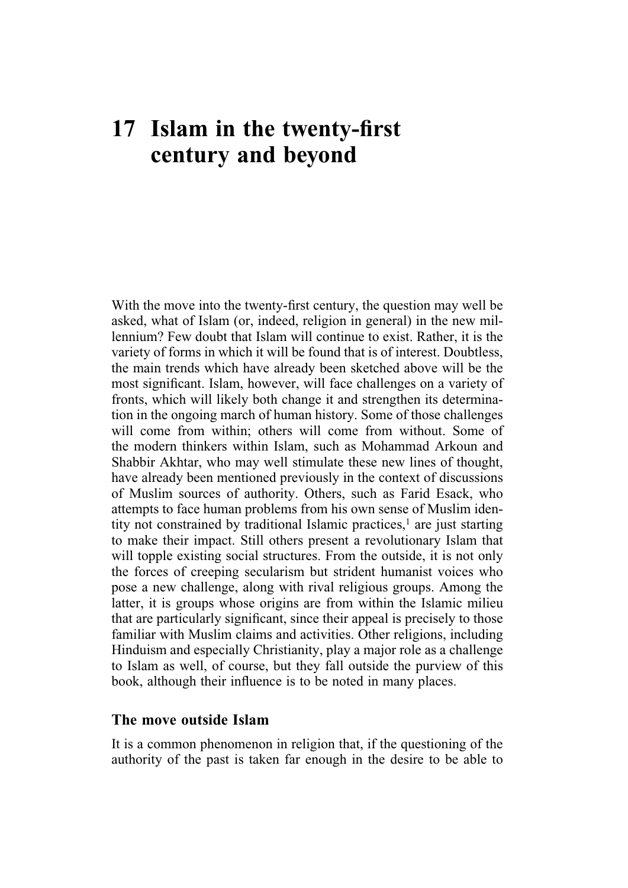# **17 Islam in the twenty-first century and beyond**

With the move into the twenty-first century, the question may well be asked, what of Islam (or, indeed, religion in general) in the new millennium? Few doubt that Islam will continue to exist. Rather, it is the variety of forms in which it will be found that is of interest. Doubtless, the main trends which have already been sketched above will be the most significant. Islam, however, will face challenges on a variety of fronts, which will likely both change it and strengthen its determination in the ongoing march of human history. Some of those challenges will come from within; others will come from without. Some of the modern thinkers within Islam, such as Mohammad Arkoun and Shabbir Akhtar, who may well stimulate these new lines of thought, have already been mentioned previously in the context of discussions of Muslim sources of authority. Others, such as Farid Esack, who attempts to face human problems from his own sense of Muslim identity not constrained by traditional Islamic practices, $\frac{1}{1}$  are just starting to make their impact. Still others present a revolutionary Islam that will topple existing social structures. From the outside, it is not only the forces of creeping secularism but strident humanist voices who pose a new challenge, along with rival religious groups. Among the latter, it is groups whose origins are from within the Islamic milieu that are particularly significant, since their appeal is precisely to those familiar with Muslim claims and activities. Other religions, including Hinduism and especially Christianity, play a major role as a challenge to Islam as well, of course, but they fall outside the purview of this book, although their influence is to be noted in many places.

## **The move outside Islam**

It is a common phenomenon in religion that, if the questioning of the authority of the past is taken far enough in the desire to be able to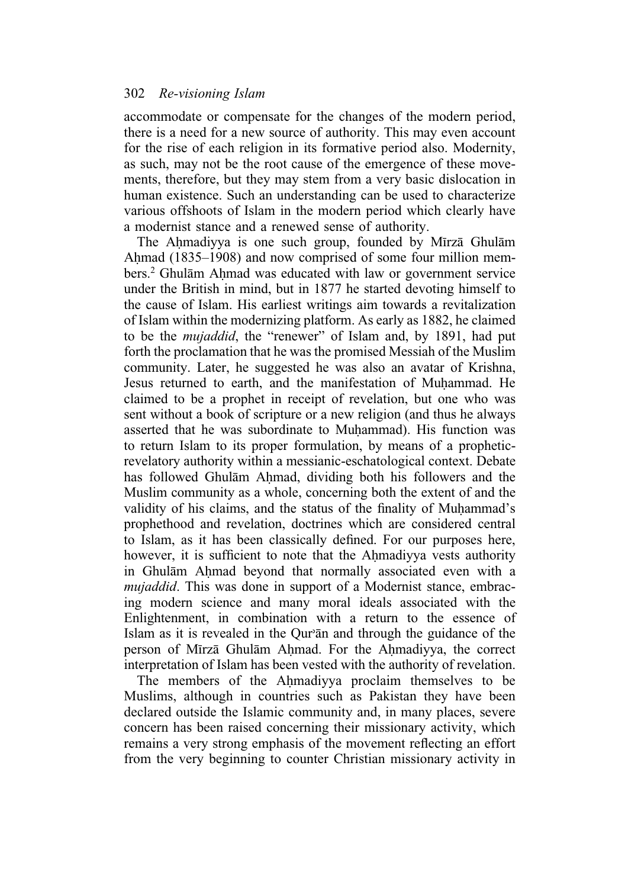accommodate or compensate for the changes of the modern period, there is a need for a new source of authority. This may even account for the rise of each religion in its formative period also. Modernity, as such, may not be the root cause of the emergence of these movements, therefore, but they may stem from a very basic dislocation in human existence. Such an understanding can be used to characterize various offshoots of Islam in the modern period which clearly have a modernist stance and a renewed sense of authority.

The Ahmadiyya is one such group, founded by Mīrzā Ghulām Ahmad (1835–1908) and now comprised of some four million members.<sup>2</sup> Ghulām Ahmad was educated with law or government service under the British in mind, but in 1877 he started devoting himself to the cause of Islam. His earliest writings aim towards a revitalization of Islam within the modernizing platform. As early as 1882, he claimed to be the *mujaddid*, the "renewer" of Islam and, by 1891, had put forth the proclamation that he was the promised Messiah of the Muslim community. Later, he suggested he was also an avatar of Krishna, Jesus returned to earth, and the manifestation of Muhammad. He claimed to be a prophet in receipt of revelation, but one who was sent without a book of scripture or a new religion (and thus he always asserted that he was subordinate to Muhammad). His function was to return Islam to its proper formulation, by means of a propheticrevelatory authority within a messianic-eschatological context. Debate has followed Ghulām Ahmad, dividing both his followers and the Muslim community as a whole, concerning both the extent of and the validity of his claims, and the status of the finality of Muhammad's prophethood and revelation, doctrines which are considered central to Islam, as it has been classically defined. For our purposes here, however, it is sufficient to note that the Ahmadiyya vests authority in Ghulām Ahmad beyond that normally associated even with a *mujaddid*. This was done in support of a Modernist stance, embracing modern science and many moral ideals associated with the Enlightenment, in combination with a return to the essence of Islam as it is revealed in the Qur'an and through the guidance of the person of Mīrzā Ghulām Aḥmad. For the Aḥmadiyya, the correct interpretation of Islam has been vested with the authority of revelation.

The members of the Ahmadiyya proclaim themselves to be Muslims, although in countries such as Pakistan they have been declared outside the Islamic community and, in many places, severe concern has been raised concerning their missionary activity, which remains a very strong emphasis of the movement reflecting an effort from the very beginning to counter Christian missionary activity in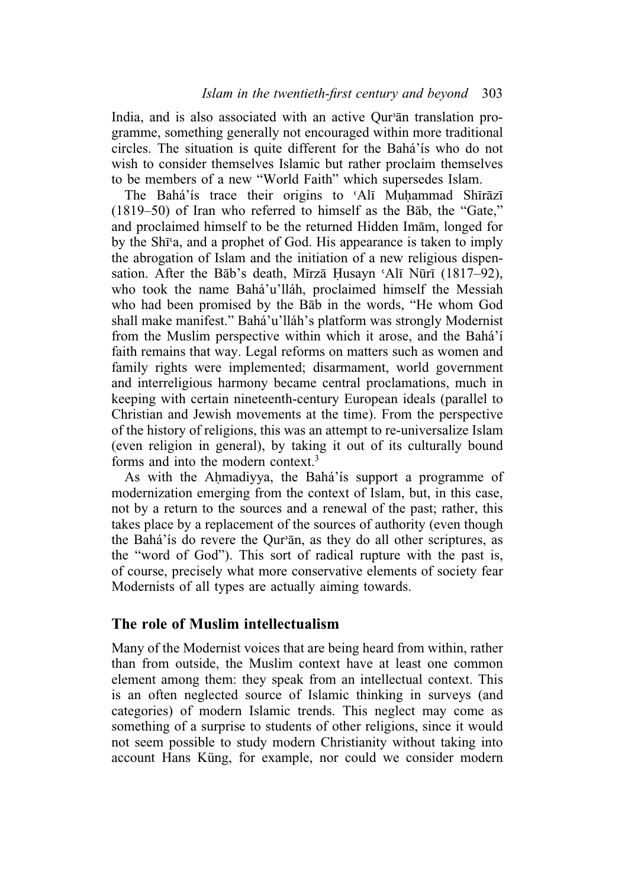India, and is also associated with an active Qur'an translation programme, something generally not encouraged within more traditional circles. The situation is quite different for the Bahá'ís who do not wish to consider themselves Islamic but rather proclaim themselves to be members of a new "World Faith" which supersedes Islam.

The Bahá'ís trace their origins to 'Alī Muhammad Shīrāzī (1819–50) of Iran who referred to himself as the Båb, the "Gate," and proclaimed himself to be the returned Hidden Imåm, longed for by the Sh<sub>1</sub><sup>c</sup>a, and a prophet of God. His appearance is taken to imply the abrogation of Islam and the initiation of a new religious dispensation. After the Bāb's death, Mīrzā Husayn 'Alī Nūrī (1817–92), who took the name Bahá'u'lláh, proclaimed himself the Messiah who had been promised by the Båb in the words, "He whom God shall make manifest." Bahá'u'lláh's platform was strongly Modernist from the Muslim perspective within which it arose, and the Bahá'í faith remains that way. Legal reforms on matters such as women and family rights were implemented; disarmament, world government and interreligious harmony became central proclamations, much in keeping with certain nineteenth-century European ideals (parallel to Christian and Jewish movements at the time). From the perspective of the history of religions, this was an attempt to re-universalize Islam (even religion in general), by taking it out of its culturally bound forms and into the modern context.3

As with the Ahmadiyya, the Bahá'ís support a programme of modernization emerging from the context of Islam, but, in this case, not by a return to the sources and a renewal of the past; rather, this takes place by a replacement of the sources of authority (even though the Bahá'ís do revere the Qur'an, as they do all other scriptures, as the "word of God"). This sort of radical rupture with the past is, of course, precisely what more conservative elements of society fear Modernists of all types are actually aiming towards.

## **The role of Muslim intellectualism**

Many of the Modernist voices that are being heard from within, rather than from outside, the Muslim context have at least one common element among them: they speak from an intellectual context. This is an often neglected source of Islamic thinking in surveys (and categories) of modern Islamic trends. This neglect may come as something of a surprise to students of other religions, since it would not seem possible to study modern Christianity without taking into account Hans Küng, for example, nor could we consider modern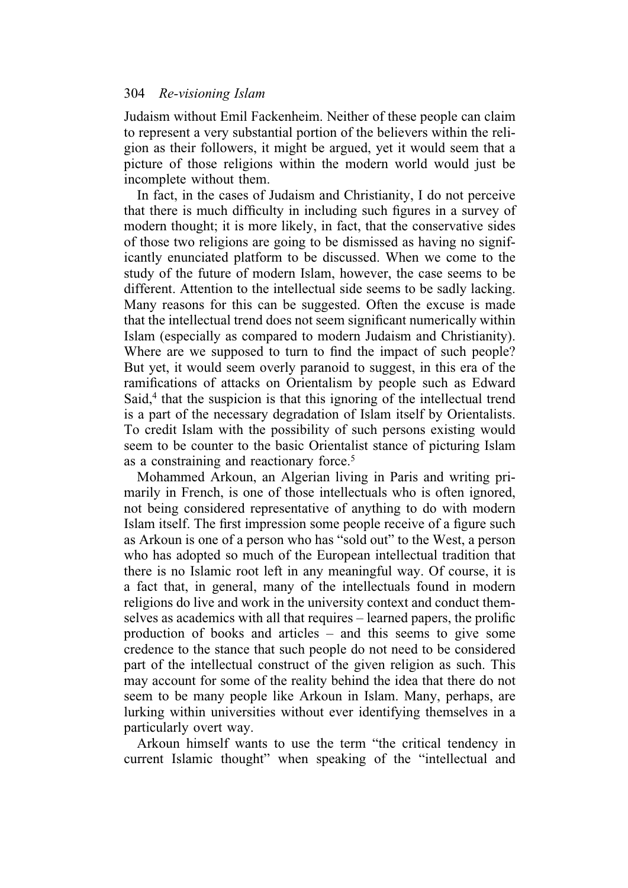Judaism without Emil Fackenheim. Neither of these people can claim to represent a very substantial portion of the believers within the religion as their followers, it might be argued, yet it would seem that a picture of those religions within the modern world would just be incomplete without them.

In fact, in the cases of Judaism and Christianity, I do not perceive that there is much difficulty in including such figures in a survey of modern thought; it is more likely, in fact, that the conservative sides of those two religions are going to be dismissed as having no significantly enunciated platform to be discussed. When we come to the study of the future of modern Islam, however, the case seems to be different. Attention to the intellectual side seems to be sadly lacking. Many reasons for this can be suggested. Often the excuse is made that the intellectual trend does not seem significant numerically within Islam (especially as compared to modern Judaism and Christianity). Where are we supposed to turn to find the impact of such people? But yet, it would seem overly paranoid to suggest, in this era of the ramifications of attacks on Orientalism by people such as Edward Said,<sup>4</sup> that the suspicion is that this ignoring of the intellectual trend is a part of the necessary degradation of Islam itself by Orientalists. To credit Islam with the possibility of such persons existing would seem to be counter to the basic Orientalist stance of picturing Islam as a constraining and reactionary force.<sup>5</sup>

Mohammed Arkoun, an Algerian living in Paris and writing primarily in French, is one of those intellectuals who is often ignored, not being considered representative of anything to do with modern Islam itself. The first impression some people receive of a figure such as Arkoun is one of a person who has "sold out" to the West, a person who has adopted so much of the European intellectual tradition that there is no Islamic root left in any meaningful way. Of course, it is a fact that, in general, many of the intellectuals found in modern religions do live and work in the university context and conduct themselves as academics with all that requires – learned papers, the prolific production of books and articles – and this seems to give some credence to the stance that such people do not need to be considered part of the intellectual construct of the given religion as such. This may account for some of the reality behind the idea that there do not seem to be many people like Arkoun in Islam. Many, perhaps, are lurking within universities without ever identifying themselves in a particularly overt way.

Arkoun himself wants to use the term "the critical tendency in current Islamic thought" when speaking of the "intellectual and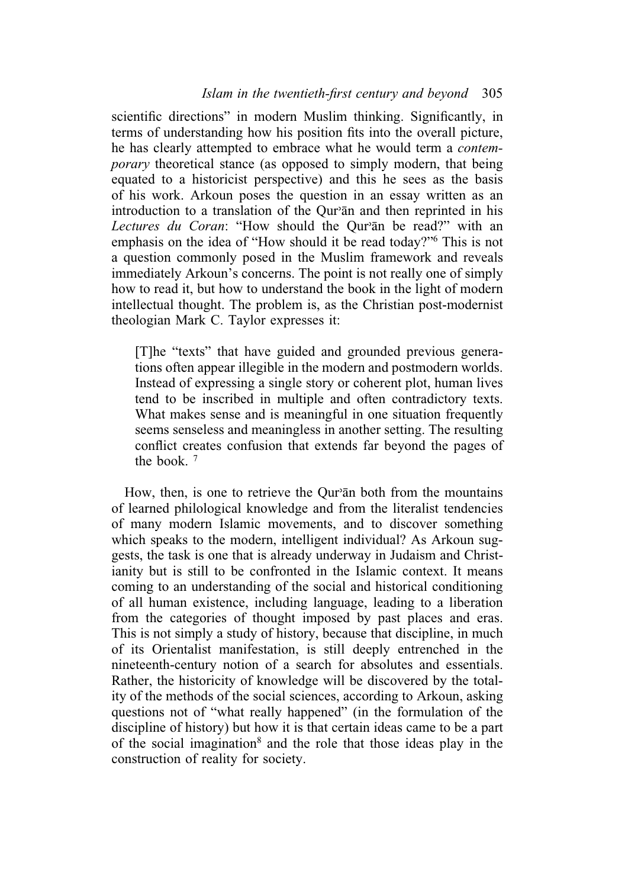## *Islam in the twentieth-first century and beyond* 305

scientific directions" in modern Muslim thinking. Significantly, in terms of understanding how his position fits into the overall picture, he has clearly attempted to embrace what he would term a *contemporary* theoretical stance (as opposed to simply modern, that being equated to a historicist perspective) and this he sees as the basis of his work. Arkoun poses the question in an essay written as an introduction to a translation of the Qur'an and then reprinted in his Lectures du Coran: "How should the Our'an be read?" with an emphasis on the idea of "How should it be read today?"6 This is not a question commonly posed in the Muslim framework and reveals immediately Arkoun's concerns. The point is not really one of simply how to read it, but how to understand the book in the light of modern intellectual thought. The problem is, as the Christian post-modernist theologian Mark C. Taylor expresses it:

[T]he "texts" that have guided and grounded previous generations often appear illegible in the modern and postmodern worlds. Instead of expressing a single story or coherent plot, human lives tend to be inscribed in multiple and often contradictory texts. What makes sense and is meaningful in one situation frequently seems senseless and meaningless in another setting. The resulting conflict creates confusion that extends far beyond the pages of the book. 7

How, then, is one to retrieve the Qur'an both from the mountains of learned philological knowledge and from the literalist tendencies of many modern Islamic movements, and to discover something which speaks to the modern, intelligent individual? As Arkoun suggests, the task is one that is already underway in Judaism and Christianity but is still to be confronted in the Islamic context. It means coming to an understanding of the social and historical conditioning of all human existence, including language, leading to a liberation from the categories of thought imposed by past places and eras. This is not simply a study of history, because that discipline, in much of its Orientalist manifestation, is still deeply entrenched in the nineteenth-century notion of a search for absolutes and essentials. Rather, the historicity of knowledge will be discovered by the totality of the methods of the social sciences, according to Arkoun, asking questions not of "what really happened" (in the formulation of the discipline of history) but how it is that certain ideas came to be a part of the social imagination8 and the role that those ideas play in the construction of reality for society.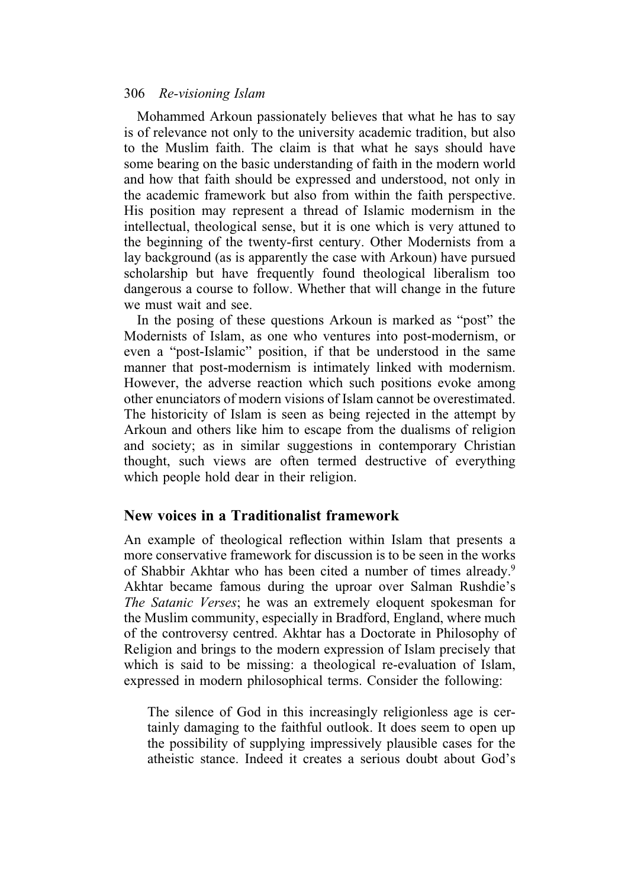Mohammed Arkoun passionately believes that what he has to say is of relevance not only to the university academic tradition, but also to the Muslim faith. The claim is that what he says should have some bearing on the basic understanding of faith in the modern world and how that faith should be expressed and understood, not only in the academic framework but also from within the faith perspective. His position may represent a thread of Islamic modernism in the intellectual, theological sense, but it is one which is very attuned to the beginning of the twenty-first century. Other Modernists from a lay background (as is apparently the case with Arkoun) have pursued scholarship but have frequently found theological liberalism too dangerous a course to follow. Whether that will change in the future we must wait and see.

In the posing of these questions Arkoun is marked as "post" the Modernists of Islam, as one who ventures into post-modernism, or even a "post-Islamic" position, if that be understood in the same manner that post-modernism is intimately linked with modernism. However, the adverse reaction which such positions evoke among other enunciators of modern visions of Islam cannot be overestimated. The historicity of Islam is seen as being rejected in the attempt by Arkoun and others like him to escape from the dualisms of religion and society; as in similar suggestions in contemporary Christian thought, such views are often termed destructive of everything which people hold dear in their religion.

# **New voices in a Traditionalist framework**

An example of theological reflection within Islam that presents a more conservative framework for discussion is to be seen in the works of Shabbir Akhtar who has been cited a number of times already.9 Akhtar became famous during the uproar over Salman Rushdie's *The Satanic Verses*; he was an extremely eloquent spokesman for the Muslim community, especially in Bradford, England, where much of the controversy centred. Akhtar has a Doctorate in Philosophy of Religion and brings to the modern expression of Islam precisely that which is said to be missing: a theological re-evaluation of Islam, expressed in modern philosophical terms. Consider the following:

The silence of God in this increasingly religionless age is certainly damaging to the faithful outlook. It does seem to open up the possibility of supplying impressively plausible cases for the atheistic stance. Indeed it creates a serious doubt about God's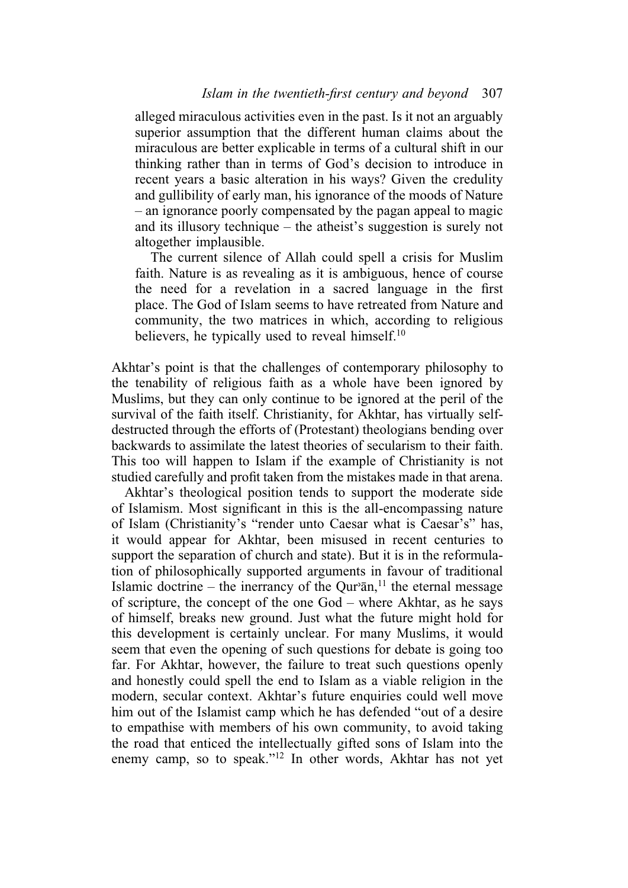alleged miraculous activities even in the past. Is it not an arguably superior assumption that the different human claims about the miraculous are better explicable in terms of a cultural shift in our thinking rather than in terms of God's decision to introduce in recent years a basic alteration in his ways? Given the credulity and gullibility of early man, his ignorance of the moods of Nature – an ignorance poorly compensated by the pagan appeal to magic and its illusory technique – the atheist's suggestion is surely not altogether implausible.

The current silence of Allah could spell a crisis for Muslim faith. Nature is as revealing as it is ambiguous, hence of course the need for a revelation in a sacred language in the first place. The God of Islam seems to have retreated from Nature and community, the two matrices in which, according to religious believers, he typically used to reveal himself. $10$ 

Akhtar's point is that the challenges of contemporary philosophy to the tenability of religious faith as a whole have been ignored by Muslims, but they can only continue to be ignored at the peril of the survival of the faith itself. Christianity, for Akhtar, has virtually selfdestructed through the efforts of (Protestant) theologians bending over backwards to assimilate the latest theories of secularism to their faith. This too will happen to Islam if the example of Christianity is not studied carefully and profit taken from the mistakes made in that arena.

Akhtar's theological position tends to support the moderate side of Islamism. Most significant in this is the all-encompassing nature of Islam (Christianity's "render unto Caesar what is Caesar's" has, it would appear for Akhtar, been misused in recent centuries to support the separation of church and state). But it is in the reformulation of philosophically supported arguments in favour of traditional Islamic doctrine – the inerrancy of the Qur' $\bar{a}$ n,<sup>11</sup> the eternal message of scripture, the concept of the one God – where Akhtar, as he says of himself, breaks new ground. Just what the future might hold for this development is certainly unclear. For many Muslims, it would seem that even the opening of such questions for debate is going too far. For Akhtar, however, the failure to treat such questions openly and honestly could spell the end to Islam as a viable religion in the modern, secular context. Akhtar's future enquiries could well move him out of the Islamist camp which he has defended "out of a desire to empathise with members of his own community, to avoid taking the road that enticed the intellectually gifted sons of Islam into the enemy camp, so to speak."12 In other words, Akhtar has not yet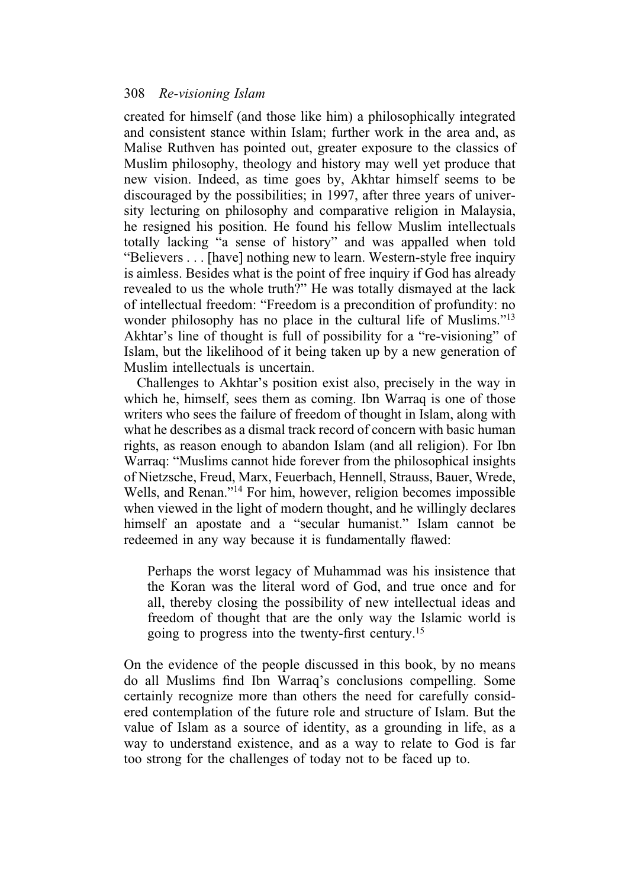created for himself (and those like him) a philosophically integrated and consistent stance within Islam; further work in the area and, as Malise Ruthven has pointed out, greater exposure to the classics of Muslim philosophy, theology and history may well yet produce that new vision. Indeed, as time goes by, Akhtar himself seems to be discouraged by the possibilities; in 1997, after three years of university lecturing on philosophy and comparative religion in Malaysia, he resigned his position. He found his fellow Muslim intellectuals totally lacking "a sense of history" and was appalled when told "Believers . . . [have] nothing new to learn. Western-style free inquiry is aimless. Besides what is the point of free inquiry if God has already revealed to us the whole truth?" He was totally dismayed at the lack of intellectual freedom: "Freedom is a precondition of profundity: no wonder philosophy has no place in the cultural life of Muslims."<sup>13</sup> Akhtar's line of thought is full of possibility for a "re-visioning" of Islam, but the likelihood of it being taken up by a new generation of Muslim intellectuals is uncertain.

Challenges to Akhtar's position exist also, precisely in the way in which he, himself, sees them as coming. Ibn Warraq is one of those writers who sees the failure of freedom of thought in Islam, along with what he describes as a dismal track record of concern with basic human rights, as reason enough to abandon Islam (and all religion). For Ibn Warraq: "Muslims cannot hide forever from the philosophical insights of Nietzsche, Freud, Marx, Feuerbach, Hennell, Strauss, Bauer, Wrede, Wells, and Renan."14 For him, however, religion becomes impossible when viewed in the light of modern thought, and he willingly declares himself an apostate and a "secular humanist." Islam cannot be redeemed in any way because it is fundamentally flawed:

Perhaps the worst legacy of Muhammad was his insistence that the Koran was the literal word of God, and true once and for all, thereby closing the possibility of new intellectual ideas and freedom of thought that are the only way the Islamic world is going to progress into the twenty-first century.15

On the evidence of the people discussed in this book, by no means do all Muslims find Ibn Warraq's conclusions compelling. Some certainly recognize more than others the need for carefully considered contemplation of the future role and structure of Islam. But the value of Islam as a source of identity, as a grounding in life, as a way to understand existence, and as a way to relate to God is far too strong for the challenges of today not to be faced up to.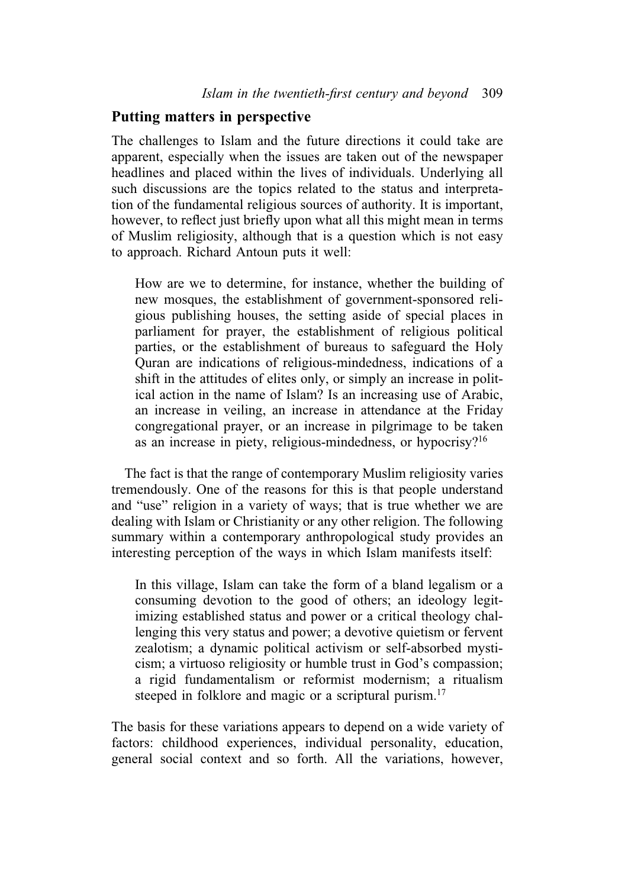## **Putting matters in perspective**

The challenges to Islam and the future directions it could take are apparent, especially when the issues are taken out of the newspaper headlines and placed within the lives of individuals. Underlying all such discussions are the topics related to the status and interpretation of the fundamental religious sources of authority. It is important, however, to reflect just briefly upon what all this might mean in terms of Muslim religiosity, although that is a question which is not easy to approach. Richard Antoun puts it well:

How are we to determine, for instance, whether the building of new mosques, the establishment of government-sponsored religious publishing houses, the setting aside of special places in parliament for prayer, the establishment of religious political parties, or the establishment of bureaus to safeguard the Holy Quran are indications of religious-mindedness, indications of a shift in the attitudes of elites only, or simply an increase in political action in the name of Islam? Is an increasing use of Arabic, an increase in veiling, an increase in attendance at the Friday congregational prayer, or an increase in pilgrimage to be taken as an increase in piety, religious-mindedness, or hypocrisy?16

The fact is that the range of contemporary Muslim religiosity varies tremendously. One of the reasons for this is that people understand and "use" religion in a variety of ways; that is true whether we are dealing with Islam or Christianity or any other religion. The following summary within a contemporary anthropological study provides an interesting perception of the ways in which Islam manifests itself:

In this village, Islam can take the form of a bland legalism or a consuming devotion to the good of others; an ideology legitimizing established status and power or a critical theology challenging this very status and power; a devotive quietism or fervent zealotism; a dynamic political activism or self-absorbed mysticism; a virtuoso religiosity or humble trust in God's compassion; a rigid fundamentalism or reformist modernism; a ritualism steeped in folklore and magic or a scriptural purism.<sup>17</sup>

The basis for these variations appears to depend on a wide variety of factors: childhood experiences, individual personality, education, general social context and so forth. All the variations, however,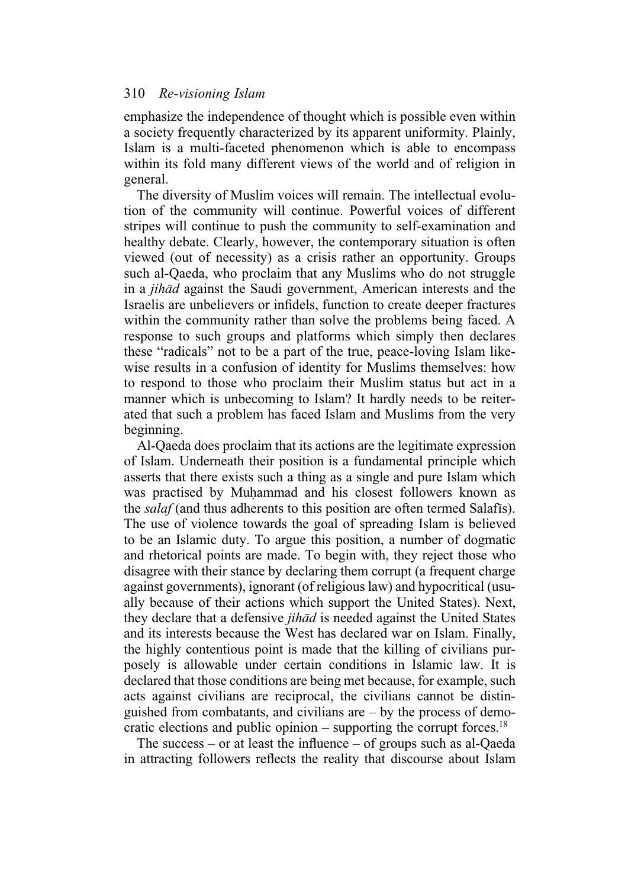emphasize the independence of thought which is possible even within a society frequently characterized by its apparent uniformity. Plainly, Islam is a multi-faceted phenomenon which is able to encompass within its fold many different views of the world and of religion in general.

The diversity of Muslim voices will remain. The intellectual evolution of the community will continue. Powerful voices of different stripes will continue to push the community to self-examination and healthy debate. Clearly, however, the contemporary situation is often viewed (out of necessity) as a crisis rather an opportunity. Groups such al-Qaeda, who proclaim that any Muslims who do not struggle in a *jihåd* against the Saudi government, American interests and the Israelis are unbelievers or infidels, function to create deeper fractures within the community rather than solve the problems being faced. A response to such groups and platforms which simply then declares these "radicals" not to be a part of the true, peace-loving Islam likewise results in a confusion of identity for Muslims themselves: how to respond to those who proclaim their Muslim status but act in a manner which is unbecoming to Islam? It hardly needs to be reiterated that such a problem has faced Islam and Muslims from the very beginning.

Al-Qaeda does proclaim that its actions are the legitimate expression of Islam. Underneath their position is a fundamental principle which asserts that there exists such a thing as a single and pure Islam which was practised by Muhammad and his closest followers known as the *salaf* (and thus adherents to this position are often termed Salafis). The use of violence towards the goal of spreading Islam is believed to be an Islamic duty. To argue this position, a number of dogmatic and rhetorical points are made. To begin with, they reject those who disagree with their stance by declaring them corrupt (a frequent charge against governments), ignorant (of religious law) and hypocritical (usually because of their actions which support the United States). Next, they declare that a defensive *jihåd* is needed against the United States and its interests because the West has declared war on Islam. Finally, the highly contentious point is made that the killing of civilians purposely is allowable under certain conditions in Islamic law. It is declared that those conditions are being met because, for example, such acts against civilians are reciprocal, the civilians cannot be distinguished from combatants, and civilians are  $-$  by the process of democratic elections and public opinion – supporting the corrupt forces.<sup>18</sup>

The success – or at least the influence – of groups such as al-Qaeda in attracting followers reflects the reality that discourse about Islam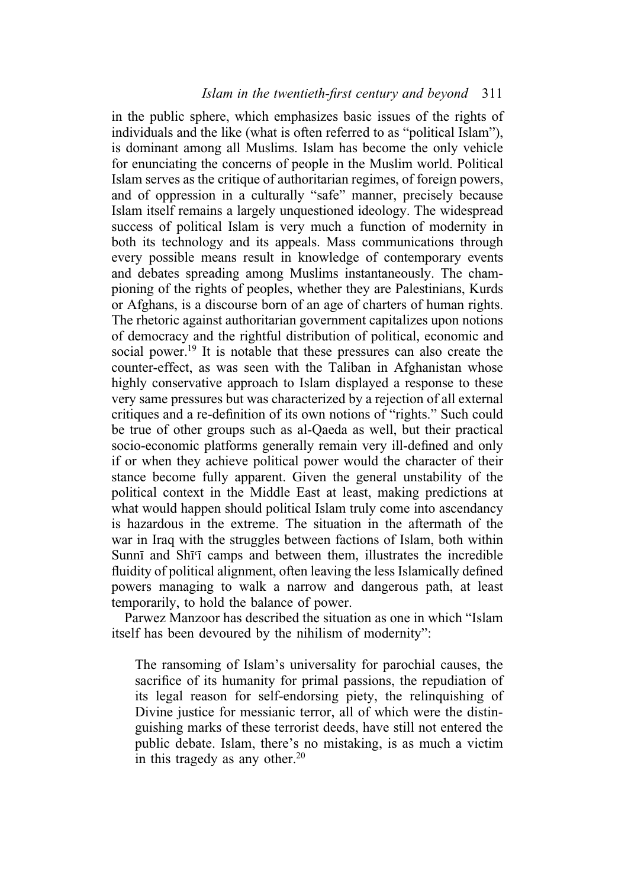## *Islam in the twentieth-first century and beyond* 311

in the public sphere, which emphasizes basic issues of the rights of individuals and the like (what is often referred to as "political Islam"), is dominant among all Muslims. Islam has become the only vehicle for enunciating the concerns of people in the Muslim world. Political Islam serves as the critique of authoritarian regimes, of foreign powers, and of oppression in a culturally "safe" manner, precisely because Islam itself remains a largely unquestioned ideology. The widespread success of political Islam is very much a function of modernity in both its technology and its appeals. Mass communications through every possible means result in knowledge of contemporary events and debates spreading among Muslims instantaneously. The championing of the rights of peoples, whether they are Palestinians, Kurds or Afghans, is a discourse born of an age of charters of human rights. The rhetoric against authoritarian government capitalizes upon notions of democracy and the rightful distribution of political, economic and social power.<sup>19</sup> It is notable that these pressures can also create the counter-effect, as was seen with the Taliban in Afghanistan whose highly conservative approach to Islam displayed a response to these very same pressures but was characterized by a rejection of all external critiques and a re-definition of its own notions of "rights." Such could be true of other groups such as al-Qaeda as well, but their practical socio-economic platforms generally remain very ill-defined and only if or when they achieve political power would the character of their stance become fully apparent. Given the general unstability of the political context in the Middle East at least, making predictions at what would happen should political Islam truly come into ascendancy is hazardous in the extreme. The situation in the aftermath of the war in Iraq with the struggles between factions of Islam, both within Sunnī and Shī<sup>c</sup>ī camps and between them, illustrates the incredible fluidity of political alignment, often leaving the less Islamically defined powers managing to walk a narrow and dangerous path, at least temporarily, to hold the balance of power.

Parwez Manzoor has described the situation as one in which "Islam itself has been devoured by the nihilism of modernity":

The ransoming of Islam's universality for parochial causes, the sacrifice of its humanity for primal passions, the repudiation of its legal reason for self-endorsing piety, the relinquishing of Divine justice for messianic terror, all of which were the distinguishing marks of these terrorist deeds, have still not entered the public debate. Islam, there's no mistaking, is as much a victim in this tragedy as any other.<sup>20</sup>